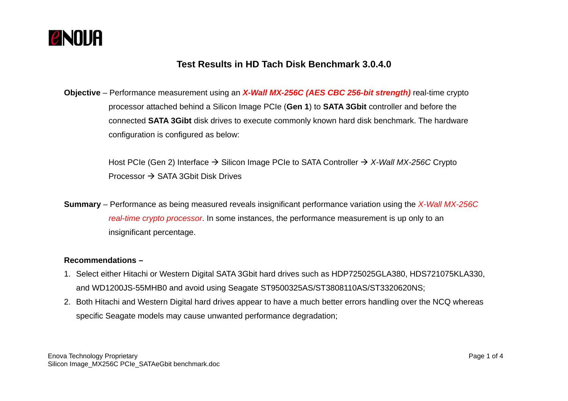

# **Test Results in HD Tach Disk Benchmark 3.0.4.0**

**Objective** – Performance measurement using an *X-Wall MX-256C (AES CBC 256-bit strength)* real-time crypto processor attached behind a Silicon Image PCIe (**Gen 1**) to **SATA 3Gbit** controller and before the connected **SATA 3Gibt** disk drives to execute commonly known hard disk benchmark. The hardware configuration is configured as below:

> Host PCIe (Gen 2) Interface → Silicon Image PCIe to SATA Controller → X-Wall MX-256C Crypto Processor  $\rightarrow$  SATA 3Gbit Disk Drives

**Summary** – Performance as being measured reveals insignificant performance variation using the *X-Wall MX-256C real-time crypto processor*. In some instances, the performance measurement is up only to an insignificant percentage.

#### **Recommendations –**

- 1. Select either Hitachi or Western Digital SATA 3Gbit hard drives such as HDP725025GLA380, HDS721075KLA330, and WD1200JS-55MHB0 and avoid using Seagate ST9500325AS/ST3808110AS/ST3320620NS;
- 2. Both Hitachi and Western Digital hard drives appear to have a much better errors handling over the NCQ whereas specific Seagate models may cause unwanted performance degradation;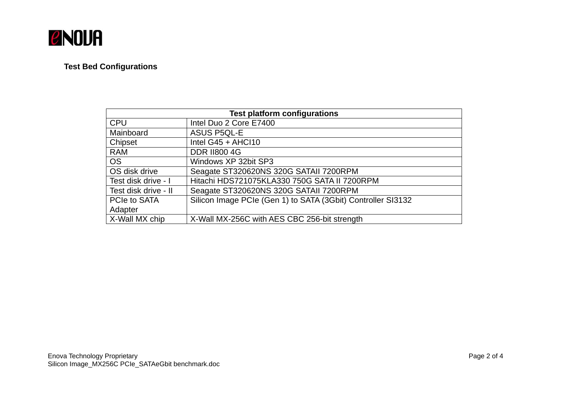

# **Test Bed Configurations**

| <b>Test platform configurations</b> |                                                              |
|-------------------------------------|--------------------------------------------------------------|
| <b>CPU</b>                          | Intel Duo 2 Core E7400                                       |
| Mainboard                           | <b>ASUS P5QL-E</b>                                           |
| Chipset                             | Intel $G45 + AHCl10$                                         |
| <b>RAM</b>                          | <b>DDR II800 4G</b>                                          |
| <b>OS</b>                           | Windows XP 32bit SP3                                         |
| OS disk drive                       | Seagate ST320620NS 320G SATAII 7200RPM                       |
| Test disk drive - I                 | Hitachi HDS721075KLA330 750G SATA II 7200RPM                 |
| Test disk drive - II                | Seagate ST320620NS 320G SATAII 7200RPM                       |
| PCIe to SATA                        | Silicon Image PCIe (Gen 1) to SATA (3Gbit) Controller SI3132 |
| Adapter                             |                                                              |
| X-Wall MX chip                      | X-Wall MX-256C with AES CBC 256-bit strength                 |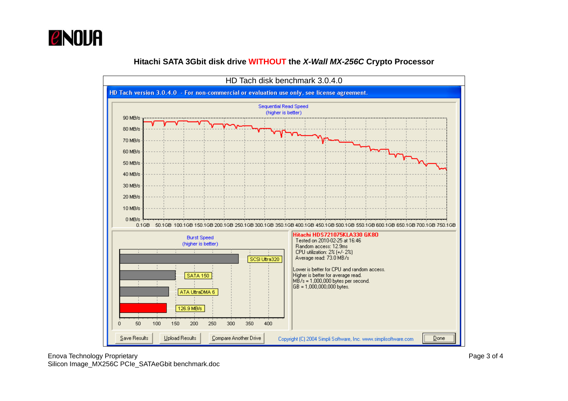

#### **Hitachi SATA 3Gbit disk drive WITHOUT the** *X-Wall MX-256C* **Crypto Processor**